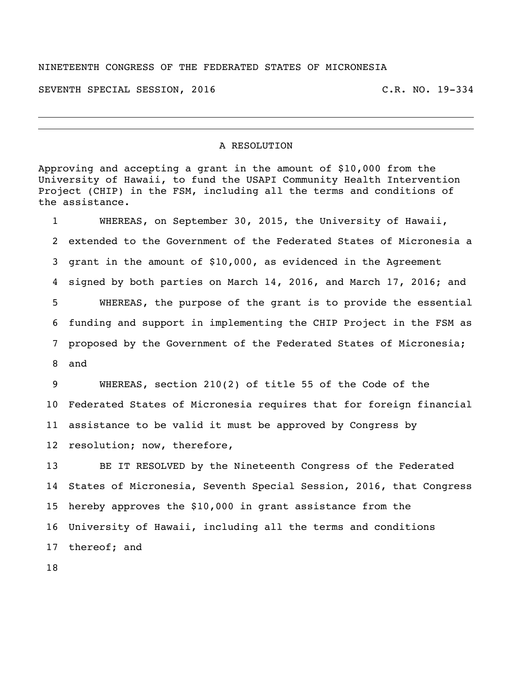## NINETEENTH CONGRESS OF THE FEDERATED STATES OF MICRONESIA

SEVENTH SPECIAL SESSION, 2016 C.R. NO. 19-334

## A RESOLUTION

Approving and accepting a grant in the amount of \$10,000 from the University of Hawaii, to fund the USAPI Community Health Intervention Project (CHIP) in the FSM, including all the terms and conditions of the assistance.

 WHEREAS, on September 30, 2015, the University of Hawaii, extended to the Government of the Federated States of Micronesia a grant in the amount of \$10,000, as evidenced in the Agreement signed by both parties on March 14, 2016, and March 17, 2016; and WHEREAS, the purpose of the grant is to provide the essential funding and support in implementing the CHIP Project in the FSM as proposed by the Government of the Federated States of Micronesia; and

 WHEREAS, section 210(2) of title 55 of the Code of the Federated States of Micronesia requires that for foreign financial assistance to be valid it must be approved by Congress by resolution; now, therefore,

 BE IT RESOLVED by the Nineteenth Congress of the Federated States of Micronesia, Seventh Special Session, 2016, that Congress hereby approves the \$10,000 in grant assistance from the University of Hawaii, including all the terms and conditions thereof; and